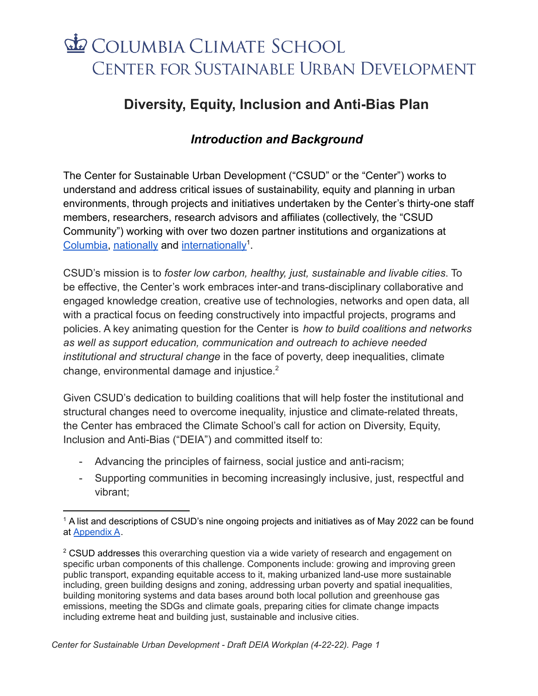# COLUMBIA CLIMATE SCHOOL CENTER FOR SUSTAINABLE URBAN DEVELOPMENT

## **Diversity, Equity, Inclusion and Anti-Bias Plan**

### *Introduction and Background*

The Center for Sustainable Urban Development ("CSUD" or the "Center") works to understand and address critical issues of sustainability, equity and planning in urban environments, through projects and initiatives undertaken by the Center's thirty-one staff members, researchers, research advisors and affiliates (collectively, the "CSUD Community") working with over two dozen partner institutions and organizations at [Columbia,](https://csud.climate.columbia.edu/content/columbia-university-partners) [nationally](https://csud.climate.columbia.edu/content/domestic-partners) and [internationally](https://csud.climate.columbia.edu/content/international-partners)<sup>1</sup>.

CSUD's mission is to *foster low carbon, healthy, just, sustainable and livable cities*. To be effective, the Center's work embraces inter-and trans-disciplinary collaborative and engaged knowledge creation, creative use of technologies, networks and open data, all with a practical focus on feeding constructively into impactful projects, programs and policies. A key animating question for the Center is *how to build coalitions and networks as well as support education, communication and outreach to achieve needed institutional and structural change* in the face of poverty, deep inequalities, climate change, environmental damage and injustice.<sup>2</sup>

Given CSUD's dedication to building coalitions that will help foster the institutional and structural changes need to overcome inequality, injustice and climate-related threats, the Center has embraced the Climate School's call for action on Diversity, Equity, Inclusion and Anti-Bias ("DEIA") and committed itself to:

- Advancing the principles of fairness, social justice and anti-racism;
- Supporting communities in becoming increasingly inclusive, just, respectful and vibrant;

<sup>&</sup>lt;sup>1</sup> A list and descriptions of CSUD's nine ongoing projects and initiatives as of May 2022 can be found at [Appendix A](#page-4-0).

 $2$  CSUD addresses this overarching question via a wide variety of research and engagement on specific urban components of this challenge. Components include: growing and improving green public transport, expanding equitable access to it, making urbanized land-use more sustainable including, green building designs and zoning, addressing urban poverty and spatial inequalities, building monitoring systems and data bases around both local pollution and greenhouse gas emissions, meeting the SDGs and climate goals, preparing cities for climate change impacts including extreme heat and building just, sustainable and inclusive cities.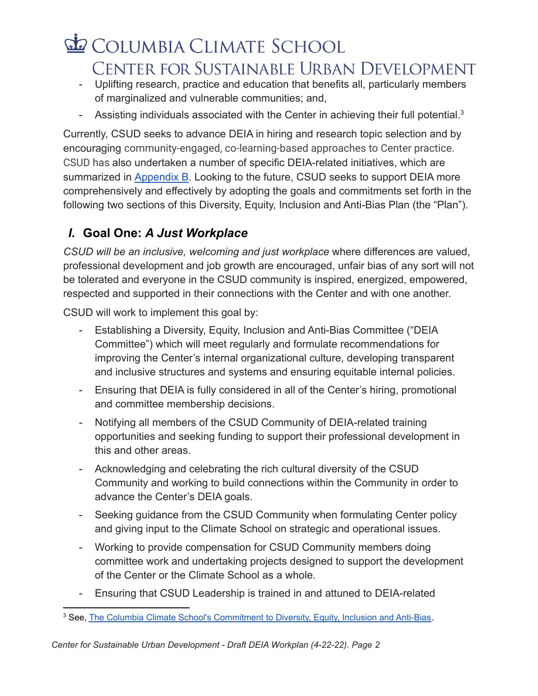# COLUMBIA CLIMATE SCHOOL CENTER FOR SUSTAINABLE URBAN DEVELOPMENT

- Uplifting research, practice and education that benefits all, particularly members of marginalized and vulnerable communities; and,
- Assisting individuals associated with the Center in achieving their full potential. $3$

Currently, CSUD seeks to advance DEIA in hiring and research topic selection and by encouraging community-engaged, co-learning-based approaches to Center practice. CSUD has also undertaken a number of specific DEIA-related initiatives, which are summarized in [Appendix B.](#page-5-0) Looking to the future, CSUD seeks to support DEIA more comprehensively and effectively by adopting the goals and commitments set forth in the following two sections of this Diversity, Equity, Inclusion and Anti-Bias Plan (the "Plan").

### *I.* **Goal One:** *A Just Workplace*

*CSUD will be an inclusive, welcoming and just workplace* where differences are valued, professional development and job growth are encouraged, unfair bias of any sort will not be tolerated and everyone in the CSUD community is inspired, energized, empowered, respected and supported in their connections with the Center and with one another.

CSUD will work to implement this goal by:

- Establishing a Diversity, Equity, Inclusion and Anti-Bias Committee ("DEIA Committee") which will meet regularly and formulate recommendations for improving the Center's internal organizational culture, developing transparent and inclusive structures and systems and ensuring equitable internal policies.
- Ensuring that DEIA is fully considered in all of the Center's hiring, promotional and committee membership decisions.
- Notifying all members of the CSUD Community of DEIA-related training opportunities and seeking funding to support their professional development in this and other areas.
- Acknowledging and celebrating the rich cultural diversity of the CSUD Community and working to build connections within the Community in order to advance the Center's DEIA goals.
- Seeking guidance from the CSUD Community when formulating Center policy and giving input to the Climate School on strategic and operational issues.
- Working to provide compensation for CSUD Community members doing committee work and undertaking projects designed to support the development of the Center or the Climate School as a whole.
- Ensuring that CSUD Leadership is trained in and attuned to DEIA-related

<sup>&</sup>lt;sup>3</sup> See, The Columbia Climate School's [Commitment](https://news.climate.columbia.edu/2021/10/25/the-columbia-climate-schools-commitment-to-diversity-equity-inclusion-and-anti-bias/) to Diversity, Equity, Inclusion and Anti-Bias.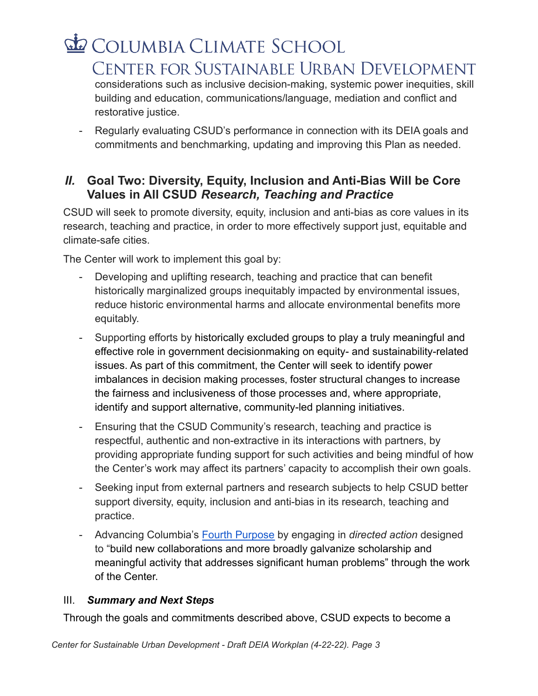## COLUMBIA CLIMATE SCHOOL CENTER FOR SUSTAINABLE URBAN DEVELOPMENT considerations such as inclusive decision-making, systemic power inequities, skill

building and education, communications/language, mediation and conflict and restorative justice.

- Regularly evaluating CSUD's performance in connection with its DEIA goals and commitments and benchmarking, updating and improving this Plan as needed.

#### *II.* **Goal Two: Diversity, Equity, Inclusion and Anti-Bias Will be Core Values in All CSUD** *Research, Teaching and Practice*

CSUD will seek to promote diversity, equity, inclusion and anti-bias as core values in its research, teaching and practice, in order to more effectively support just, equitable and climate-safe cities.

The Center will work to implement this goal by:

- Developing and uplifting research, teaching and practice that can benefit historically marginalized groups inequitably impacted by environmental issues, reduce historic environmental harms and allocate environmental benefits more equitably.
- Supporting efforts by historically excluded groups to play a truly meaningful and effective role in government decisionmaking on equity- and sustainability-related issues. As part of this commitment, the Center will seek to identify power imbalances in decision making processes, foster structural changes to increase the fairness and inclusiveness of those processes and, where appropriate, identify and support alternative, community-led planning initiatives.
- Ensuring that the CSUD Community's research, teaching and practice is respectful, authentic and non-extractive in its interactions with partners, by providing appropriate funding support for such activities and being mindful of how the Center's work may affect its partners' capacity to accomplish their own goals.
- Seeking input from external partners and research subjects to help CSUD better support diversity, equity, inclusion and anti-bias in its research, teaching and practice.
- Advancing Columbia's [Fourth Purpose](https://president.columbia.edu/sites/default/files/content/Additional/Fourth%20Purpose%20Task%20Force%20Report.pdf) by engaging in *directed action* designed to "build new collaborations and more broadly galvanize scholarship and meaningful activity that addresses significant human problems" through the work of the Center.

#### III. *Summary and Next Steps*

Through the goals and commitments described above, CSUD expects to become a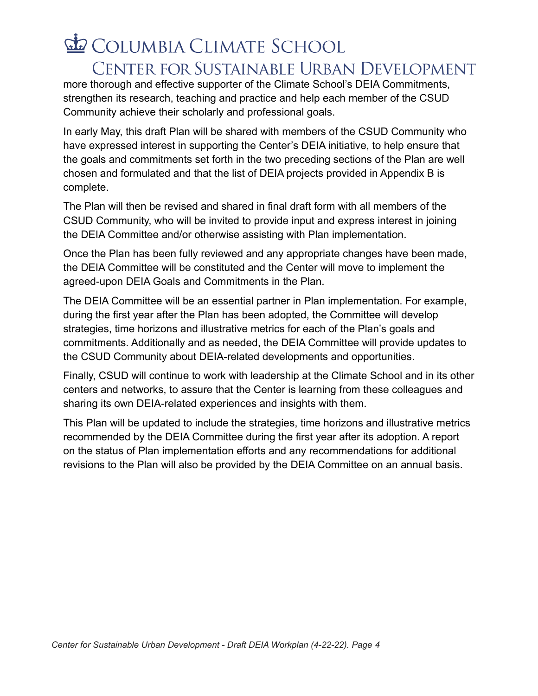# COLUMBIA CLIMATE SCHOOL CENTER FOR SUSTAINABLE URBAN DEVELOPMENT

more thorough and effective supporter of the Climate School's DEIA Commitments, strengthen its research, teaching and practice and help each member of the CSUD Community achieve their scholarly and professional goals.

In early May, this draft Plan will be shared with members of the CSUD Community who have expressed interest in supporting the Center's DEIA initiative, to help ensure that the goals and commitments set forth in the two preceding sections of the Plan are well chosen and formulated and that the list of DEIA projects provided in Appendix B is complete.

The Plan will then be revised and shared in final draft form with all members of the CSUD Community, who will be invited to provide input and express interest in joining the DEIA Committee and/or otherwise assisting with Plan implementation.

Once the Plan has been fully reviewed and any appropriate changes have been made, the DEIA Committee will be constituted and the Center will move to implement the agreed-upon DEIA Goals and Commitments in the Plan.

The DEIA Committee will be an essential partner in Plan implementation. For example, during the first year after the Plan has been adopted, the Committee will develop strategies, time horizons and illustrative metrics for each of the Plan's goals and commitments. Additionally and as needed, the DEIA Committee will provide updates to the CSUD Community about DEIA-related developments and opportunities.

Finally, CSUD will continue to work with leadership at the Climate School and in its other centers and networks, to assure that the Center is learning from these colleagues and sharing its own DEIA-related experiences and insights with them.

This Plan will be updated to include the strategies, time horizons and illustrative metrics recommended by the DEIA Committee during the first year after its adoption. A report on the status of Plan implementation efforts and any recommendations for additional revisions to the Plan will also be provided by the DEIA Committee on an annual basis.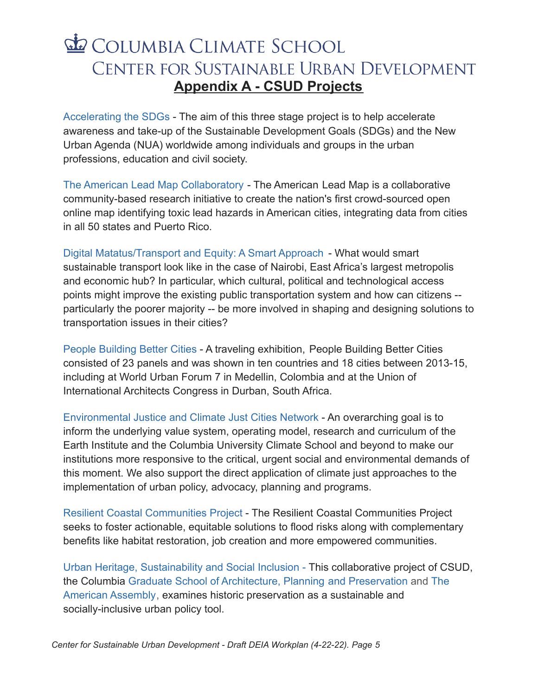## COLUMBIA CLIMATE SCHOOL CENTER FOR SUSTAINABLE URBAN DEVELOPMENT **Appendix A - CSUD Projects**

<span id="page-4-0"></span>[Accelerating the SDGs](https://csud.climate.columbia.edu/research-projects/accelerating-sdgs) - The aim of this three stage project is to help accelerate awareness and take-up of the Sustainable Development Goals (SDGs) and the New Urban Agenda (NUA) worldwide among individuals and groups in the urban professions, education and civil society.

[The American Lead Map Collaboratory](https://csud.climate.columbia.edu/research-projects/american-lead-map-collaboratory) - The American Lead Map is a collaborative community-based research initiative to create the nation's first crowd-sourced open online map identifying toxic lead hazards in American cities, integrating data from cities in all 50 states and Puerto Rico.

[Digital Matatus/Transport and Equity: A Smart Approach](https://csud.climate.columbia.edu/research-projects/digital-matatus-transport-equity) - What would smart sustainable transport look like in the case of Nairobi, East Africa's largest metropolis and economic hub? In particular, which cultural, political and technological access points might improve the existing public transportation system and how can citizens - particularly the poorer majority -- be more involved in shaping and designing solutions to transportation issues in their cities?

[People Building Better Cities](https://csud.climate.columbia.edu/research-projects/people-building-better-cities) - A traveling exhibition, People Building Better Cities consisted of 23 panels and was shown in ten countries and 18 cities between 2013-15, including at World Urban Forum 7 in Medellin, Colombia and at the Union of International Architects Congress in Durban, South Africa.

[Environmental Justice and Climate Just Cities Network](https://csud.climate.columbia.edu/research-projects/environmental-justice-and-climate-just-cities-network) - An overarching goal is to inform the underlying value system, operating model, research and curriculum of the Earth Institute and the Columbia University Climate School and beyond to make our institutions more responsive to the critical, urgent social and environmental demands of this moment. We also support the direct application of climate just approaches to the implementation of urban policy, advocacy, planning and programs.

[Resilient Coastal Communities Project](https://csud.climate.columbia.edu/research-projects/resilient-coastal-communities-project) - The Resilient Coastal Communities Project seeks to foster actionable, equitable solutions to flood risks along with complementary benefits like habitat restoration, job creation and more empowered communities.

[Urban Heritage, Sustainability and Social Inclusion](https://csud.climate.columbia.edu/research-projects/urban-heritage-sustainability-and-social-inclusion) - This collaborative project of CSUD, the Columbia [Graduate School of Architecture, Planning](https://www.arch.columbia.edu/) and Preservation and [The](http://americanassembly.org/about) [American Assembly](http://americanassembly.org/about), examines historic preservation as a sustainable and socially-inclusive urban policy tool.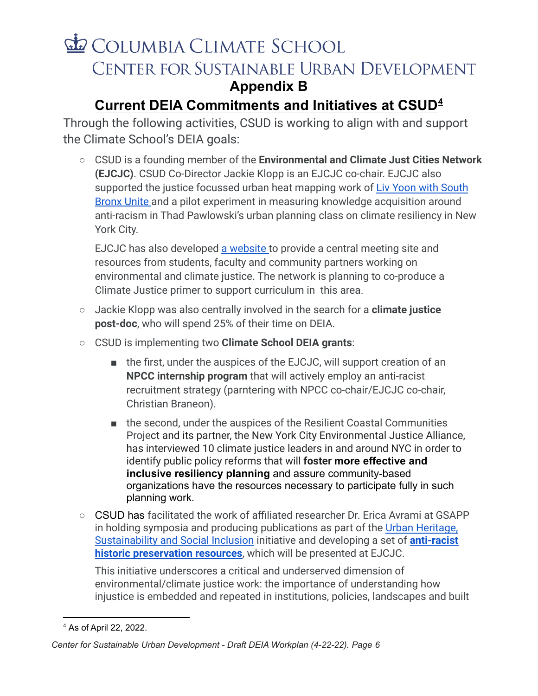## **ED** COLUMBIA CLIMATE SCHOOL CENTER FOR SUSTAINABLE URBAN DEVELOPMENT **Appendix B**

### <span id="page-5-0"></span>**Current DEIA Commitments and Initiatives at CSUD 4**

Through the following activities, CSUD is working to align with and support the Climate School's DEIA goals:

○ CSUD is a founding member of the **Environmental and Climate Just Cities Network (EJCJC)**. CSUD Co-Director Jackie Klopp is an EJCJC co-chair. EJCJC also supported the justice focussed urban heat mapping work of [Liv Yoon with South](https://www.scientificamerican.com/article/meet-the-new-yorkers-mapping-the-citys-heat-islands/) [Bronx Unite](https://www.scientificamerican.com/article/meet-the-new-yorkers-mapping-the-citys-heat-islands/) and a pilot experiment in measuring knowledge acquisition around anti-racism in Thad Pawlowski's urban planning class on climate resiliency in New York City.

EJCJC has also developed [a website](https://justicenetwork.climate.columbia.edu) to provide a central meeting site and resources from students, faculty and community partners working on environmental and climate justice. The network is planning to co-produce a Climate Justice primer to support curriculum in this area.

- Jackie Klopp was also centrally involved in the search for a **climate justice post-doc**, who will spend 25% of their time on DEIA.
- CSUD is implementing two **Climate School DEIA grants**:
	- the first, under the auspices of the EJCJC, will support creation of an **NPCC internship program** that will actively employ an anti-racist recruitment strategy (parntering with NPCC co-chair/EJCJC co-chair, Christian Braneon).
	- the second, under the auspices of the Resilient Coastal Communities Project and its partner, the New York City Environmental Justice Alliance, has interviewed 10 climate justice leaders in and around NYC in order to identify public policy reforms that will **foster more effective and inclusive resiliency planning** and assure community-based organizations have the resources necessary to participate fully in such planning work.
- CSUD has facilitated the work of affiliated researcher Dr. Erica Avrami at GSAPP in holding symposia and producing publications as part of the [Urban Heritage,](https://csud.climate.columbia.edu/research-projects/urban-heritage-sustainability-and-social-inclusion) [Sustainability and Social Inclusion](https://csud.climate.columbia.edu/research-projects/urban-heritage-sustainability-and-social-inclusion) initiative and developing a set of **[anti-racist](https://docs.google.com/document/d/1IqERcowdaMnHQpgnA9PfPdEabGl6xYexJA2fLOzwtCs/edit?usp=sharing) [historic preservation resources](https://docs.google.com/document/d/1IqERcowdaMnHQpgnA9PfPdEabGl6xYexJA2fLOzwtCs/edit?usp=sharing)**, which will be presented at EJCJC.

This initiative underscores a critical and underserved dimension of environmental/climate justice work: the importance of understanding how injustice is embedded and repeated in institutions, policies, landscapes and built

<sup>4</sup> As of April 22, 2022.

*Center for Sustainable Urban Development - Draft DEIA Workplan (4-22-22). Page 6*